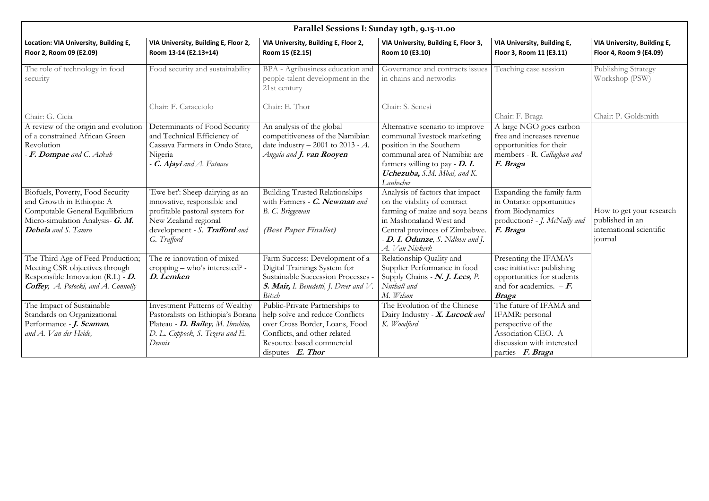|                                                                                                                                                                                                                                |                                                                                                                                                                                                                                                            |                                                                                                                                                                                                                        |                                                                                                                                                                                                                            | VIA University, Building E,                                                        |
|--------------------------------------------------------------------------------------------------------------------------------------------------------------------------------------------------------------------------------|------------------------------------------------------------------------------------------------------------------------------------------------------------------------------------------------------------------------------------------------------------|------------------------------------------------------------------------------------------------------------------------------------------------------------------------------------------------------------------------|----------------------------------------------------------------------------------------------------------------------------------------------------------------------------------------------------------------------------|------------------------------------------------------------------------------------|
| Room 13-14 (E2.13+14)                                                                                                                                                                                                          | Room 15 (E2.15)                                                                                                                                                                                                                                            | Room 10 (E3.10)                                                                                                                                                                                                        | Floor 3, Room 11 (E3.11)                                                                                                                                                                                                   | Floor 4, Room 9 (E4.09)                                                            |
| Food security and sustainability                                                                                                                                                                                               | BPA - Agribusiness education and<br>people-talent development in the<br>21st century                                                                                                                                                                       | Governance and contracts issues<br>in chains and networks                                                                                                                                                              | Teaching case session                                                                                                                                                                                                      | Publishing Strategy<br>Workshop (PSW)                                              |
| Chair: F. Caracciolo                                                                                                                                                                                                           | Chair: E. Thor                                                                                                                                                                                                                                             | Chair: S. Senesi                                                                                                                                                                                                       |                                                                                                                                                                                                                            |                                                                                    |
|                                                                                                                                                                                                                                |                                                                                                                                                                                                                                                            |                                                                                                                                                                                                                        | Chair: F. Braga                                                                                                                                                                                                            | Chair: P. Goldsmith                                                                |
| Determinants of Food Security<br>and Technical Efficiency of<br>Cassava Farmers in Ondo State,<br>Nigeria<br><b>C. Ajayi</b> and A. Fatuase                                                                                    | An analysis of the global<br>competitiveness of the Namibian<br>date industry $-2001$ to 2013 - A.<br>Angala and <b>J. van Rooyen</b>                                                                                                                      | Alternative scenario to improve<br>communal livestock marketing<br>position in the Southern<br>communal area of Namibia: are<br>farmers willing to pay - D. I.<br><b>Uchezuba,</b> S.M. Mbai, and K.<br>Laubscher      | A large NGO goes carbon<br>free and increases revenue<br>opportunities for their<br>members - R. Callaghan and<br>F. Braga                                                                                                 |                                                                                    |
| 'Ewe bet': Sheep dairying as an<br>innovative, responsible and<br>profitable pastoral system for<br>New Zealand regional<br>development - S. Trafford and<br>G. Trafford                                                       | <b>Building Trusted Relationships</b><br>with Farmers - C. Newman and<br>B. C. Briggeman<br>(Best Paper Finalist)                                                                                                                                          | Analysis of factors that impact<br>on the viability of contract<br>farming of maize and soya beans<br>in Mashonaland West and<br>Central provinces of Zimbabwe.<br>$-D.$ I. Odunze, S. Ndlovu and J.<br>A. Van Niekerk | Expanding the family farm<br>in Ontario: opportunities<br>from Biodynamics<br>production? - J. McNally and<br>F. Braga                                                                                                     | How to get your research<br>published in an<br>international scientific<br>journal |
| The re-innovation of mixed<br>cropping – who's interested? -<br>D. Lemken<br><b>Investment Patterns of Wealthy</b><br>Pastoralists on Ethiopia's Borana<br>Plateau - D. Bailey, M. Ibrahim,<br>D. L. Coppock, S. Tezera and E. | Farm Success: Development of a<br>Digital Trainings System for<br>Sustainable Succession Processes<br><b>Bitsch</b><br>Public-Private Partnerships to<br>help solve and reduce Conflicts<br>over Cross Border, Loans, Food<br>Conflicts, and other related | Relationship Quality and<br>Supplier Performance in food<br>Supply Chains - N. J. Lees, P.<br>Nuthall and<br>M. Wilson<br>The Evolution of the Chinese<br>Dairy Industry - X. Lucock and<br>K. Woodford                | Presenting the IFAMA's<br>case initiative: publishing<br>opportunities for students<br>and for academics. $-F$ .<br><b>Braga</b><br>The future of IFAMA and<br>IFAMR: personal<br>perspective of the<br>Association CEO. A |                                                                                    |
|                                                                                                                                                                                                                                | VIA University, Building E, Floor 2,<br>Dennis                                                                                                                                                                                                             | VIA University, Building E, Floor 2,<br>Resource based commercial<br>disputes - $E$ . Thor                                                                                                                             | Parallel Sessions I: Sunday 19th, 9.15-11.00<br>VIA University, Building E, Floor 3,<br><b>S. Mair, I.</b> Benedetti, J. Dreer and V.                                                                                      | VIA University, Building E,<br>discussion with interested<br>parties - F. Braga    |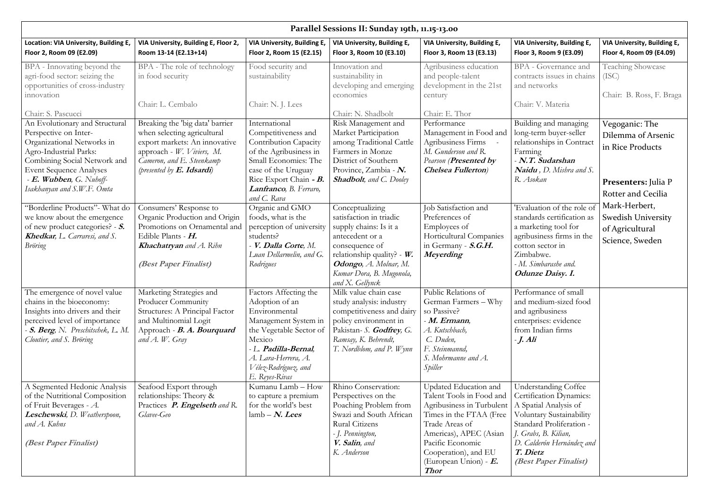| Parallel Sessions II: Sunday 19th, 11.15-13.00                                                                                                                                                                                              |                                                                                                                                                                                           |                                                                                                                                                                                                                  |                                                                                                                                                                                                                    |                                                                                                                                                                                                                                              |                                                                                                                                                                                                                                   |                                                                                                              |
|---------------------------------------------------------------------------------------------------------------------------------------------------------------------------------------------------------------------------------------------|-------------------------------------------------------------------------------------------------------------------------------------------------------------------------------------------|------------------------------------------------------------------------------------------------------------------------------------------------------------------------------------------------------------------|--------------------------------------------------------------------------------------------------------------------------------------------------------------------------------------------------------------------|----------------------------------------------------------------------------------------------------------------------------------------------------------------------------------------------------------------------------------------------|-----------------------------------------------------------------------------------------------------------------------------------------------------------------------------------------------------------------------------------|--------------------------------------------------------------------------------------------------------------|
| Location: VIA University, Building E,<br>Floor 2, Room 09 (E2.09)                                                                                                                                                                           | VIA University, Building E, Floor 2,<br>Room 13-14 (E2.13+14)                                                                                                                             | VIA University, Building E,<br>Floor 2, Room 15 (E2.15)                                                                                                                                                          | VIA University, Building E,<br>Floor 3, Room 10 (E3.10)                                                                                                                                                            | VIA University, Building E,<br>Floor 3, Room 13 (E3.13)                                                                                                                                                                                      | VIA University, Building E,<br>Floor 3, Room 9 (E3.09)                                                                                                                                                                            | VIA University, Building E,<br>Floor 4, Room 09 (E4.09)                                                      |
| BPA - Innovating beyond the<br>agri-food sector: seizing the<br>opportunities of cross-industry<br>innovation<br>Chair: S. Pascucci                                                                                                         | BPA - The role of technology<br>in food security<br>Chair: L. Cembalo                                                                                                                     | Food security and<br>sustainability<br>Chair: N. J. Lees                                                                                                                                                         | Innovation and<br>sustainability in<br>developing and emerging<br>economies<br>Chair: N. Shadbolt                                                                                                                  | Agribusiness education<br>and people-talent<br>development in the 21st<br>century<br>Chair: E. Thor                                                                                                                                          | <b>BPA</b> - Governance and<br>contracts issues in chains<br>and networks<br>Chair: V. Materia                                                                                                                                    | <b>Teaching Showcase</b><br>(ISC)<br>Chair: B. Ross, F. Braga                                                |
| An Evolutionary and Structural<br>Perspective on Inter-<br>Organizational Networks in<br>Agro-Industrial Parks:<br>Combining Social Network and<br><b>Event Sequence Analyses</b><br>$-E.$ Wubben, G. Nuboff-<br>Isakhanyan and S.W.F. Omta | Breaking the 'big data' barrier<br>when selecting agricultural<br>export markets: An innovative<br>approach - W. Viviers, M.<br>Cameron, and E. Steenkamp<br>(presented by $E$ . Idsardi) | International<br>Competitiveness and<br><b>Contribution Capacity</b><br>of the Agribusiness in<br>Small Economies: The<br>case of the Uruguay<br>Rice Export Chain - B.<br>Lanfranco, B. Ferraro,<br>and C. Rava | Risk Management and<br>Market Participation<br>among Traditional Cattle<br>Farmers in Monze<br>District of Southern<br>Province, Zambia - N.<br><b>Shadbolt</b> , and C. Dooley                                    | Performance<br>Management in Food and<br>Agribusiness Firms<br>M. Gunderson and R.<br><b>Pearson (Presented by</b><br><b>Chelsea Fullerton</b> )                                                                                             | Building and managing<br>long-term buyer-seller<br>relationships in Contract<br>Farming<br>- N.T. Sudarshan<br><b>Naidu</b> , D. Mishra and S.<br>R. Asokan                                                                       | Vegoganic: The<br>Dilemma of Arsenic<br>in Rice Products<br><b>Presenters: Julia P</b><br>Rotter and Cecilia |
| "Borderline Products" - What do<br>we know about the emergence<br>of new product categories? - S.<br>Khedkar, L. Carraresi, and S.<br><b>Bröring</b>                                                                                        | Consumers' Response to<br>Organic Production and Origin<br>Promotions on Ornamental and<br>Edible Plants - $H$ .<br><b>Khachatryan</b> and A. Rihn<br>(Best Paper Finalist)               | Organic and GMO<br>foods, what is the<br>perception of university<br>students?<br>- V. Dalla Corte, M.<br>Luan Dellarmelin, and G.<br>Rodrigues                                                                  | Conceptualizing<br>satisfaction in triadic<br>supply chains: Is it a<br>antecedent or a<br>consequence of<br>relationship quality? - $W$ .<br>Odongo, A. Molnar, M.<br>Kumar Dora, B. Mugonola,<br>and X. Gellynck | Tob Satisfaction and<br>Preferences of<br>Employees of<br>Horticultural Companies<br>in Germany - S.G.H.<br>Meyerding                                                                                                                        | 'Evaluation of the role of<br>standards certification as<br>a marketing tool for<br>agribusiness firms in the<br>cotton sector in<br>Zimbabwe.<br>- M. Simbarashe and.<br><b>Odunze Daisy. I.</b>                                 | Mark-Herbert,<br><b>Swedish University</b><br>of Agricultural<br>Science, Sweden                             |
| The emergence of novel value<br>chains in the bioeconomy:<br>Insights into drivers and their<br>perceived level of importance<br>S. Berg, N. Preschitschek, L. M.<br>Cloutier, and S. Bröring                                               | Marketing Strategies and<br>Producer Community<br>Structures: A Principal Factor<br>and Multinomial Logit<br>Approach - B. A. Bourquard<br>and $A$ . W. Gray                              | Factors Affecting the<br>Adoption of an<br>Environmental<br>Management System in<br>the Vegetable Sector of<br>Mexico<br>- L. Padilla-Bernal,<br>A. Lara-Herrera, A.<br>Vélez-Rodríguez, and<br>E. Reyes-Rivas   | Milk value chain case<br>study analysis: industry<br>competitiveness and dairy<br>policy environment in<br>Pakistan- S. Godfrey, G.<br>Ramsay, K. Behrendt,<br>T. Nordblom, and P. Wynn                            | Public Relations of<br>German Farmers - Why<br>so Passive?<br>- M. Ermann,<br>A. Kutschbach,<br>C. Duden,<br>F. Steinmannd,<br>S. Mohrmanne and A.<br>Spiller                                                                                | Performance of small<br>and medium-sized food<br>and agribusiness<br>enterprises: evidence<br>from Indian firms<br>$-J.$ Ali                                                                                                      |                                                                                                              |
| A Segmented Hedonic Analysis<br>of the Nutritional Composition<br>of Fruit Beverages - $A$ .<br>Leschewski, D. Weatherspoon,<br>and A. Kuhns<br><i>(Best Paper Finalist)</i>                                                                | Seafood Export through<br>relationships: Theory &<br>Practices P. Engelseth and R.<br>Glavee-Geo                                                                                          | Kumanu Lamb - How<br>to capture a premium<br>for the world's best<br>$\lambda$ lamb – <i>N. Lees</i>                                                                                                             | Rhino Conservation:<br>Perspectives on the<br>Poaching Problem from<br>Swazi and South African<br>Rural Citizens<br>- J. Pennington,<br>V. Salin, and<br>K. Anderson                                               | Updated Education and<br>Talent Tools in Food and<br>Agribusiness in Turbulent<br>Times in the FTAA (Free<br>Trade Areas of<br>Americas), APEC (Asian<br>Pacific Economic<br>Cooperation), and EU<br>(European Union) - $E$ .<br><b>Thor</b> | <b>Understanding Coffee</b><br>Certification Dynamics:<br>A Spatial Analysis of<br>Voluntary Sustainability<br>Standard Proliferation -<br>J. Grabs, B. Kilian,<br>D. Calderón Hernández and<br>T. Dietz<br>(Best Paper Finalist) |                                                                                                              |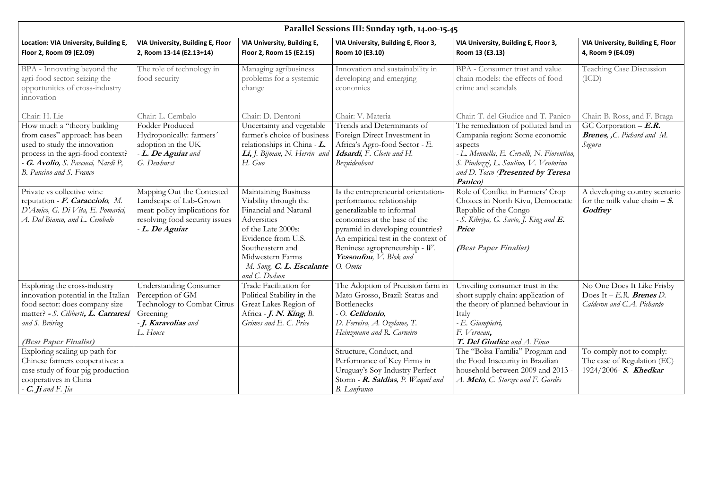|                                                                                                                                                                                                                                                              |                                                                                                                                               |                                                                                                                                                                                                                          | Parallel Sessions III: Sunday 19th, 14.00-15.45                                                                                                                                                                                                                                  |                                                                                                                                                                                                                            |                                                                                                                                                   |
|--------------------------------------------------------------------------------------------------------------------------------------------------------------------------------------------------------------------------------------------------------------|-----------------------------------------------------------------------------------------------------------------------------------------------|--------------------------------------------------------------------------------------------------------------------------------------------------------------------------------------------------------------------------|----------------------------------------------------------------------------------------------------------------------------------------------------------------------------------------------------------------------------------------------------------------------------------|----------------------------------------------------------------------------------------------------------------------------------------------------------------------------------------------------------------------------|---------------------------------------------------------------------------------------------------------------------------------------------------|
| Location: VIA University, Building E,<br>Floor 2, Room 09 (E2.09)                                                                                                                                                                                            | VIA University, Building E, Floor<br>2, Room 13-14 (E2.13+14)                                                                                 | VIA University, Building E,<br>Floor 2, Room 15 (E2.15)                                                                                                                                                                  | VIA University, Building E, Floor 3,<br>Room 10 (E3.10)                                                                                                                                                                                                                          | VIA University, Building E, Floor 3,<br>Room 13 (E3.13)                                                                                                                                                                    | VIA University, Building E, Floor<br>4, Room 9 (E4.09)                                                                                            |
| BPA - Innovating beyond the<br>agri-food sector: seizing the<br>opportunities of cross-industry<br>innovation                                                                                                                                                | The role of technology in<br>food security                                                                                                    | Managing agribusiness<br>problems for a systemic<br>change                                                                                                                                                               | Innovation and sustainability in<br>developing and emerging<br>economies                                                                                                                                                                                                         | BPA - Consumer trust and value<br>chain models: the effects of food<br>crime and scandals                                                                                                                                  | <b>Teaching Case Discussion</b><br>(ICD)                                                                                                          |
| Chair: H. Lie                                                                                                                                                                                                                                                | Chair: L. Cembalo                                                                                                                             | Chair: D. Dentoni                                                                                                                                                                                                        | Chair: V. Materia                                                                                                                                                                                                                                                                | Chair: T. del Giudice and T. Panico                                                                                                                                                                                        | Chair: B. Ross, and F. Braga                                                                                                                      |
| How much a "theory building<br>from cases" approach has been<br>used to study the innovation<br>process in the agri-food context?<br><b>G. Avolio</b> , S. Pascucci, Nardi P,<br>B. Pancino and S. Franco                                                    | Fodder Produced<br>Hydroponically: farmers'<br>adoption in the UK<br>- L. De Aguiar and<br>G. Dewhurst                                        | Uncertainty and vegetable<br>farmer's choice of business<br>relationships in China $-L$ .<br>Li, J. Bijman, N. Herrin and<br>H. Guo                                                                                      | Trends and Determinants of<br>Foreign Direct Investment in<br>Africa's Agro-food Sector - E.<br>Idsardi, F. Cloete and H.<br>Bezuidenhout                                                                                                                                        | The remediation of polluted land in<br>Campania region: Some economic<br>aspects<br>- L. Mennella, E. Cervelli, N. Fiorentino,<br>S. Pindozzi, L. Saulino, V. Ventorino<br>and D. Tosco (Presented by Teresa<br>Panico)    | GC Corporation $-E.R.$<br><b>Brenes</b> , ,C. Pichard and M.<br>Segura                                                                            |
| Private vs collective wine<br>reputation - F. Caracciolo, M.<br>D'Amico, G. Di Vita, E. Pomarici,<br>A. Dal Bianco, and L. Cembalo                                                                                                                           | Mapping Out the Contested<br>Landscape of Lab-Grown<br>meat: policy implications for<br>resolving food security issues<br>- L. De Aguiar      | Maintaining Business<br>Viability through the<br>Financial and Natural<br>Adversities<br>of the Late 2000s:<br>Evidence from U.S.<br>Southeastern and<br>Midwestern Farms<br>- M. Song, C. L. Escalante<br>and C. Dodson | Is the entrepreneurial orientation-<br>performance relationship<br>generalizable to informal<br>economies at the base of the<br>pyramid in developing countries?<br>An empirical test in the context of<br>Beninese agropreneurship - $W$ .<br>Yessoufou, V. Blok and<br>O. Omta | Role of Conflict in Farmers' Crop<br>Choices in North Kivu, Democratic<br>Republic of the Congo<br>- S. Kibriya, G. Savio, J. King and <b>E.</b><br><b>Price</b><br>(Best Paper Finalist)                                  | A developing country scenario<br>for the milk value chain $- S$ .<br>Godfrey                                                                      |
| Exploring the cross-industry<br>innovation potential in the Italian<br>food sector: does company size<br>matter? - S. Ciliberti, L. Carraresi<br>and S. Bröring<br>(Best Paper Finalist)<br>Exploring scaling up path for<br>Chinese farmers cooperatives: a | <b>Understanding Consumer</b><br>Perception of GM<br><b>Technology to Combat Citrus</b><br>Greening<br>- <b>J. Karavolias</b> and<br>L. House | Trade Facilitation for<br>Political Stability in the<br>Great Lakes Region of<br>Africa $-I. N.$ King, B.<br>Grimes and E. C. Price                                                                                      | The Adoption of Precision farm in   Unveiling consumer trust in the<br>Mato Grosso, Brazil: Status and<br><b>Bottlenecks</b><br>$-$ O. Celidonio,<br>D. Ferreira, A. Ozelame, T.<br>Heinzmann and R. Carneiro<br>Structure, Conduct, and<br>Performance of Key Firms in          | short supply chain: application of<br>the theory of planned behaviour in<br>Italy<br>- E. Giampietri,<br>F. Verneau,<br>T. Del Giudice and A. Finco<br>The "Bolsa-Família" Program and<br>the Food Insecurity in Brazilian | No One Does It Like Frisby<br>Does It $-$ E.R. Brenes D.<br>Calderon and C.A. Pichardo<br>To comply not to comply:<br>The case of Regulation (EC) |
| case study of four pig production<br>cooperatives in China<br>- $\emph{C.}$ Ji and F. Jia                                                                                                                                                                    |                                                                                                                                               |                                                                                                                                                                                                                          | Uruguay's Soy Industry Perfect<br>Storm - <b>R. Saldias</b> , P. Waquil and<br><b>B.</b> Lanfranco                                                                                                                                                                               | household between 2009 and 2013 -<br>A. Melo, C. Starzec and F. Gardés                                                                                                                                                     | 1924/2006- <i>S. Khedkar</i>                                                                                                                      |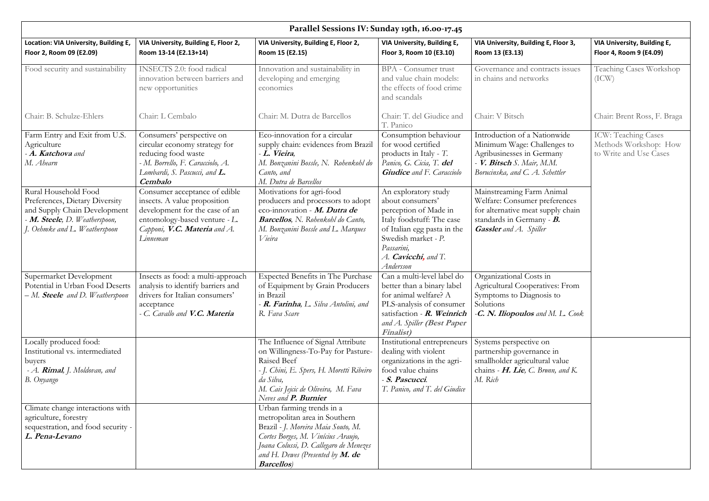|                                                                                                                                                          |                                                                                                                                                                                 | Parallel Sessions IV: Sunday 19th, 16.00-17.45                                                                                                                                                                                               |                                                                                                                                                                                                                |                                                                                                                                                               |                                                                        |
|----------------------------------------------------------------------------------------------------------------------------------------------------------|---------------------------------------------------------------------------------------------------------------------------------------------------------------------------------|----------------------------------------------------------------------------------------------------------------------------------------------------------------------------------------------------------------------------------------------|----------------------------------------------------------------------------------------------------------------------------------------------------------------------------------------------------------------|---------------------------------------------------------------------------------------------------------------------------------------------------------------|------------------------------------------------------------------------|
| Location: VIA University, Building E,<br>Floor 2, Room 09 (E2.09)                                                                                        | VIA University, Building E, Floor 2,<br>Room 13-14 (E2.13+14)                                                                                                                   | VIA University, Building E, Floor 2,<br>Room 15 (E2.15)                                                                                                                                                                                      | VIA University, Building E,<br>Floor 3, Room 10 (E3.10)                                                                                                                                                        | VIA University, Building E, Floor 3,<br>Room 13 (E3.13)                                                                                                       | VIA University, Building E,<br>Floor 4, Room 9 (E4.09)                 |
| Food security and sustainability                                                                                                                         | INSECTS 2.0: food radical<br>innovation between barriers and<br>new opportunities                                                                                               | Innovation and sustainability in<br>developing and emerging<br>economies                                                                                                                                                                     | <b>BPA</b> - Consumer trust<br>and value chain models:<br>the effects of food crime<br>and scandals                                                                                                            | Governance and contracts issues<br>in chains and networks                                                                                                     | <b>Teaching Cases Workshop</b><br>(ICW)                                |
| Chair: B. Schulze-Ehlers                                                                                                                                 | Chair: L Cembalo                                                                                                                                                                | Chair: M. Dutra de Barcellos                                                                                                                                                                                                                 | Chair: T. del Giudice and<br>T. Panico                                                                                                                                                                         | Chair: V Bitsch                                                                                                                                               | Chair: Brent Ross, F. Braga                                            |
| Farm Entry and Exit from U.S.<br>Agriculture<br>- A. Katchova and<br>M. Ahearn                                                                           | Consumers' perspective on<br>circular economy strategy for<br>reducing food waste<br>- M. Borrello, F. Caracciolo, A.<br>Lombardi, S. Pascucci, and <b>L.</b><br><b>Cembalo</b> | Eco-innovation for a circular<br>supply chain: evidences from Brazil<br>- L. Vieira,<br>M. Bonzanini Bossle, N. Rohenkohl do<br>Canto, and<br>M. Dutra de Barcellos                                                                          | Consumption behaviour<br>for wood certified<br>products in Italy - $T$ .<br>Panico, G. Cicia, T. del<br><b>Giudice</b> and F. Caracciolo                                                                       | Introduction of a Nationwide<br>Minimum Wage: Challenges to<br>Agribusinesses in Germany<br>- V. Bitsch S. Mair, M.M.<br>Borucinska, and C. A. Schettler      | ICW: Teaching Cases<br>Methods Workshop: How<br>to Write and Use Cases |
| Rural Household Food<br>Preferences, Dietary Diversity<br>and Supply Chain Development<br>- M. Steele, D. Weatherspoon,<br>J. Oehmke and L. Weatherspoon | Consumer acceptance of edible<br>insects. A value proposition<br>development for the case of an<br>entomology-based venture - L.<br>Capponi, V.C. Materia and A.<br>Linneman    | Motivations for agri-food<br>producers and processors to adopt<br>eco-innovation - M. Dutra de<br><b>Barcellos</b> , N. Rohenkohl do Canto,<br>M. Bonzanini Bossle and L. Marques<br>Vieira                                                  | An exploratory study<br>about consumers'<br>perception of Made in<br>Italy foodstuff: The case<br>of Italian egg pasta in the<br>Swedish market - P.<br>Passarini,<br>A. <b>Cavicchi</b> , and T.<br>Andersson | Mainstreaming Farm Animal<br>Welfare: Consumer preferences<br>for alternative meat supply chain<br>standards in Germany - B.<br><b>Gassler</b> and A. Spiller |                                                                        |
| Supermarket Development<br>Potential in Urban Food Deserts<br>- M. <b>Steele</b> and D. Weatherspoon                                                     | Insects as food: a multi-approach<br>analysis to identify barriers and<br>drivers for Italian consumers'<br>acceptance<br>- C. Cavallo and V.C. Materia                         | Expected Benefits in The Purchase<br>of Equipment by Grain Producers<br>in Brazil<br>- R. Farinha, L. Silva Antolini, and<br>R. Fava Scare                                                                                                   | Can a multi-level label do<br>better than a binary label<br>for animal welfare? A<br>PLS-analysis of consumer<br>satisfaction - $R$ . Weinrich<br>and A. Spiller (Best Paper<br><b>Finalist</b> )              | Organizational Costs in<br>Agricultural Cooperatives: From<br>Symptoms to Diagnosis to<br>Solutions<br>$-$ <b>C.</b> N. <b>Iliopoulos</b> and M. L. Cook      |                                                                        |
| Locally produced food:<br>Institutional vs. intermediated<br>buyers<br>- A. <b>Rimal</b> , J. Moldovan, and<br>B. Onyango                                |                                                                                                                                                                                 | The Influence of Signal Attribute<br>on Willingness-To-Pay for Pasture-<br>Raised Beef<br>- J. Chini, E. Spers, H. Moretti Ribeiro<br>da Silva,<br>M. Cais Jejcic de Oliveira, M. Fava<br>Neves and <b>P. Burnier</b>                        | Institutional entrepreneurs<br>dealing with violent<br>organizations in the agri-<br>food value chains<br>S. Pascucci.<br>T. Panico, and T. del Giudice                                                        | Systems perspective on<br>partnership governance in<br>smallholder agricultural value<br>chains $- H.$ Lie, C. Bronn, and K.<br>M. Rich                       |                                                                        |
| Climate change interactions with<br>agriculture, forestry<br>sequestration, and food security -<br>L. Pena-Levano                                        |                                                                                                                                                                                 | Urban farming trends in a<br>metropolitan area in Southern<br>Brazil - J. Moreira Maia Souto, M.<br>Cortes Borges, M. Vinícius Araujo,<br>Joana Colussi, D. Callegaro de Menezes<br>and H. Dewes (Presented by $M.$ de<br><b>Barcellos</b> ) |                                                                                                                                                                                                                |                                                                                                                                                               |                                                                        |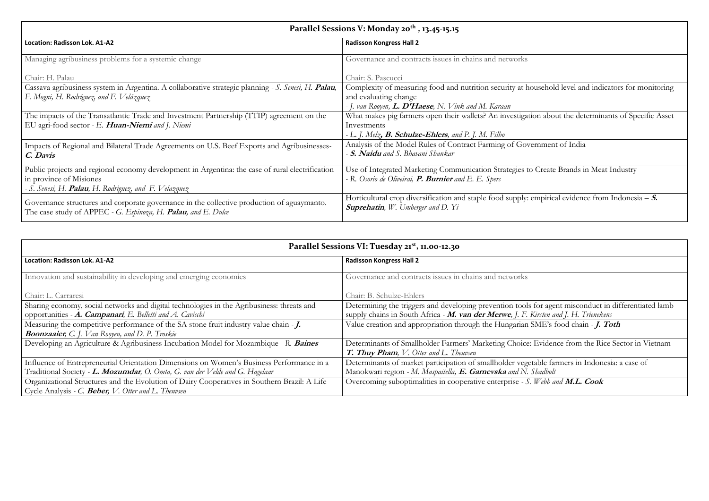| Parallel Sessions V: Monday 20 <sup>th</sup> , 13.45-15.15 |
|------------------------------------------------------------|
|------------------------------------------------------------|

| <b>Location: Radisson Lok. A1-A2</b>                                                                                                                        | <b>Radisson Kongress Hall 2</b>                                                                                                                   |
|-------------------------------------------------------------------------------------------------------------------------------------------------------------|---------------------------------------------------------------------------------------------------------------------------------------------------|
| Managing agribusiness problems for a systemic change                                                                                                        | Governance and contracts issues in chains and networks                                                                                            |
| Chair: H. Palau                                                                                                                                             | Chair: S. Pascucci                                                                                                                                |
| Cassava agribusiness system in Argentina. A collaborative strategic planning - S. Senesi, H. Palau,                                                         | Complexity of measuring food and nutrition security at household level and indicators for monitoring                                              |
| F. Mogni, H. Rodríguez, and F. Velázquez                                                                                                                    | and evaluating change                                                                                                                             |
|                                                                                                                                                             | - J. van Rooyen, <b>L. D'Haese</b> , N. Vink and M. Karaan                                                                                        |
| The impacts of the Transatlantic Trade and Investment Partnership (TTIP) agreement on the                                                                   | What makes pig farmers open their wallets? An investigation about the determinants of Specific Asset                                              |
| EU agri-food sector - E. Huan-Niemi and J. Niemi                                                                                                            | Investments                                                                                                                                       |
|                                                                                                                                                             | $-L$ , J. Melz, <b>B. Schulze-Ehlers</b> , and P. J. M. Filho                                                                                     |
| Impacts of Regional and Bilateral Trade Agreements on U.S. Beef Exports and Agribusinesses-                                                                 | Analysis of the Model Rules of Contract Farming of Government of India                                                                            |
| C. Davis                                                                                                                                                    | - S. Naidu and S. Bhavani Shankar                                                                                                                 |
| Public projects and regional economy development in Argentina: the case of rural electrification                                                            | Use of Integrated Marketing Communication Strategies to Create Brands in Meat Industry                                                            |
| in province of Misiones                                                                                                                                     | - R. Osorio de Oliveirai, P. Burnier and E. E. Spers                                                                                              |
| - S. Senesi, H. <b>Palau</b> , H. Rodriguez, and F. Velazquez                                                                                               |                                                                                                                                                   |
| Governance structures and corporate governance in the collective production of aguaymanto.<br>The case study of APPEC - G. Espinoza, H. Palau, and E. Dulce | Horticultural crop diversification and staple food supply: empirical evidence from Indonesia $- S$ .<br><b>Suprehatin</b> , W. Umberger and D. Yi |

able farmers in Indonesia: a case of *hadbolt* Overcoming suboptimalities in cooperative enterprise *- S. Webb and* **M.L. Cook**

## **Parallel Sessions VI: Tuesday 21st , 11.00-12.30**

| <b>Location: Radisson Lok. A1-A2</b>                                                         | <b>Radisson Kongress Hall 2</b>                                   |
|----------------------------------------------------------------------------------------------|-------------------------------------------------------------------|
| Innovation and sustainability in developing and emerging economies                           | Governance and contracts issues in chains and networks            |
|                                                                                              |                                                                   |
| Chair: L. Carraresi                                                                          | Chair: B. Schulze-Ehlers                                          |
| Sharing economy, social networks and digital technologies in the Agribusiness: threats and   | Determining the triggers and developing prevention tools for age  |
| opportunities $-A$ . Campanari, E. Belletti and A. Cavicchi                                  | supply chains in South Africa - M. van der Merwe, J. F. Kirsten a |
| Measuring the competitive performance of the SA stone fruit industry value chain - J.        | Value creation and appropriation through the Hungarian SME's      |
| <b>Boonzaaier</b> , C. J. Van Rooyen, and D. P. Troskie                                      |                                                                   |
| Developing an Agriculture & Agribusiness Incubation Model for Mozambique - R. Baines         | Determinants of Smallholder Farmers' Marketing Choice: Evider     |
|                                                                                              | <b>T. Thuy Pham,</b> V. Otter and L. Theuvsen                     |
| Influence of Entrepreneurial Orientation Dimensions on Women's Business Performance in a     | Determinants of market participation of smallholder vegetable fa  |
| Traditional Society - L. Mozumdar, O. Omta, G. van der Velde and G. Hagelaar                 | Manokwari region - M. Maspaitella, E. Garnevska and N. Shadboli   |
| Organizational Structures and the Evolution of Dairy Cooperatives in Southern Brazil: A Life | Overcoming suboptimalities in cooperative enterprise - S. Webb a  |
| Cycle Analysis - C. <b>Beber</b> , V. Otter and L. Theuvsen                                  |                                                                   |

| usehold level and indicators for monitoring |  |  |  |  |
|---------------------------------------------|--|--|--|--|

for agent misconduct in differentiated lamb supply chains in South Africa *-* **M. van der Merwe***, J. F. Kirsten and J. H. Trienekens* ME's food chain *- J. Toth* 

Developing an Agriculture & Agribusiness Incubation Model for Mozambique *- R.* **Baines** Determinants of Smallholder Farmers' Marketing Choice: Evidence from the Rice Sector in Vietnam *-*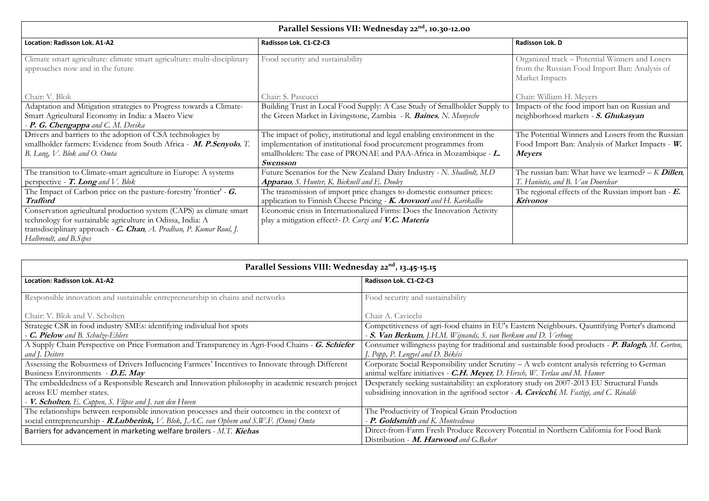tts of the food import ban on Russian and neighborhood markets *-* **S. Ghukasyan**

**The Potential Winners and Losers from the Russian** Import Ban: Analysis of Market Impacts - W. **Meyers**

|                                                                                                                                                                                                                                     | Parallel Sessions VII: Wednesday 22 <sup>nd</sup> , 10.30-12.00                                                                                                                                                                 |                                                 |
|-------------------------------------------------------------------------------------------------------------------------------------------------------------------------------------------------------------------------------------|---------------------------------------------------------------------------------------------------------------------------------------------------------------------------------------------------------------------------------|-------------------------------------------------|
| Location: Radisson Lok. A1-A2                                                                                                                                                                                                       | Radisson Lok. C1-C2-C3                                                                                                                                                                                                          | Radisson Lok. D                                 |
| Climate smart agriculture: climate smart agriculture: multi-disciplinary<br>approaches now and in the future                                                                                                                        | Food security and sustainability                                                                                                                                                                                                | Organized trac<br>from the Russ<br>Market Impac |
| Chair: V. Blok                                                                                                                                                                                                                      | Chair: S. Pascucci                                                                                                                                                                                                              | Chair: William                                  |
| Adaptation and Mitigation strategies to Progress towards a Climate-<br>Smart Agricultural Economy in India: a Macro View<br>- <b>P. G. Chengappa</b> and C. M. Devika                                                               | Building Trust in Local Food Supply: A Case Study of Smallholder Supply to<br>the Green Market in Livingstone, Zambia - R. Baines, N. Munyeche                                                                                  | Impacts of the<br>neighborhood                  |
| Drivers and barriers to the adoption of CSA technologies by<br>smallholder farmers: Evidence from South Africa - M. P.Senyolo, T.<br>B. Long, V. Blok and O. Omta                                                                   | The impact of policy, institutional and legal enabling environment in the<br>implementation of institutional food procurement programmes from<br>smallholders: The case of PRONAE and PAA-Africa in Mozambique - L.<br>Swensson | The Potential<br>Food Import I<br><b>Meyers</b> |
| The transition to Climate-smart agriculture in Europe: A systems<br>perspective - $T$ . Long and V. Blok                                                                                                                            | Future Scenarios for the New Zealand Dairy Industry - N. Shadbolt, M.D<br><b>Apparao</b> , S. Hunter, K. Bicknell and E. Dooley                                                                                                 | The russian ba<br>T. Haniotis, and              |
| The Impact of Carbon price on the pasture-forestry 'frontier' - $\overline{G}$ .<br><b>Trafford</b>                                                                                                                                 | The transmission of import price changes to domestic consumer prices:<br>application to Finnish Cheese Pricing - K. Arovuori and H. Karikallio                                                                                  | The regional e<br><b>Krivonos</b>               |
| Conservation agricultural production system (CAPS) as climate smart<br>technology for sustainable agriculture in Odissa, India: A<br>transdisciplinary approach - C. Chan, A. Pradhan, P. Kumar Roul, J.<br>Halbrendt, and B. Sipes | Economic crisis in Internationalized Firms: Does the Innovation Activity<br>play a mitigation effect?- D. Curzi and V.C. Materia                                                                                                |                                                 |

I Neighbours. Qauntifying Porter's diamond *-* **S. Van Berkum***, J.H.M. Wijnands, S. van Berkum and D. Verhoog* Consumer willingness paying for traditional and sustainable food products *-* **P. Balogh***, M. Gorton,* 

web content analysis referring to German

The russian ban: What have we learned? *– K* **Dillen***, T. Haniotis, and B. Van Doorslear*

The regional effects of the Russian import ban *-* **E. Krivonos**

| Parallel Sessions VIII: Wednesday 22 <sup>nd</sup> , 13.45-15.15                                  |                                                                                            |
|---------------------------------------------------------------------------------------------------|--------------------------------------------------------------------------------------------|
| <b>Location: Radisson Lok. A1-A2</b>                                                              | Radisson Lok. C1-C2-C3                                                                     |
| Responsible innovation and sustainable entrepreneurship in chains and networks                    | Food security and sustainability                                                           |
| Chair: V. Blok and V. Scholten                                                                    | Chair A. Cavicchi                                                                          |
| Strategic CSR in food industry SMEs: identifying individual hot spots                             | Competitiveness of agri-food chains in EU's Eastern Neighbours. Qauntifying Porter's diar  |
| - C. Pielow and B. Schulze-Ehlers                                                                 | - S. Van Berkum, J.H.M. Wijnands, S. van Berkum and D. Verhoog                             |
| A Supply Chain Perspective on Price Formation and Transparency in Agri-Food Chains - G. Schiefer  | Consumer willingness paying for traditional and sustainable food products - P. Balogh, M.  |
| and J. Deiters                                                                                    | J. Popp, P. Lengyel and D. Békési                                                          |
| Assessing the Robustness of Drivers Influencing Farmers' Incentives to Innovate through Different | Corporate Social Responsibility under Scrutiny – A web content analysis referring to Germa |
| Business Environments - D.E. May                                                                  | animal welfare initiatives - C.H. Meyer, D. Hirsch, W. Terlau and M. Hamer                 |
| The embeddedness of a Responsible Research and Innovation philosophy in academic research project | Desperately seeking sustainability: an exploratory study on 2007-2013 EU Structural Funds  |
| across EU member states.                                                                          | subsidising innovation in the agrifood sector - A. Cavicchi, M. Fastigi, and C. Rinaldi    |
| - <b>V. Scholten</b> , E. Cuppen, S. Flipse and J. van den Hoven                                  |                                                                                            |
| The relationships between responsible innovation processes and their outcomes: in the context of  | The Productivity of Tropical Grain Production                                              |
| social entrepreneurship - R.Lubberink, V. Blok, J.A.C. van Ophem and S.W.F. (Onno) Omta           | - P. Goldsmith and K. Montesdeoca                                                          |
| Barriers for advancement in marketing welfare broilers - $M.T.$ Kiehas                            | Direct-from-Farm Fresh Produce Recovery Potential in Northern California for Food Bank     |
|                                                                                                   | Distribution - M. Harwood and G.Baker                                                      |

nized track – Potential Winners and Losers the Russian Food Import Ban: Analysis of t Impacts

William H. Meyers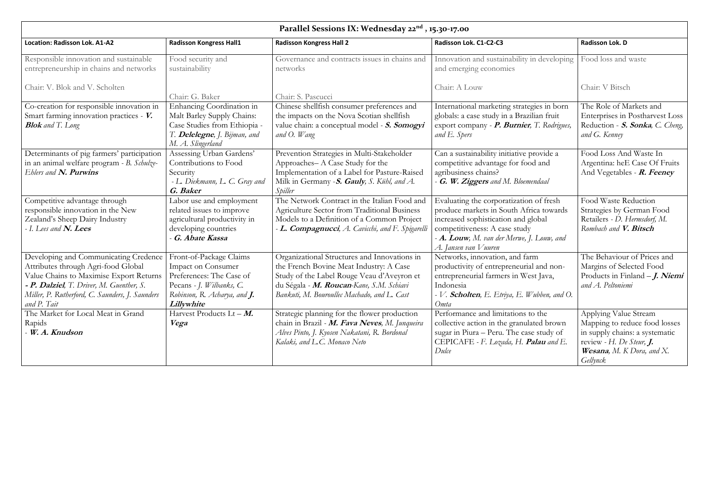| Parallel Sessions IX: Wednesday 22 <sup>nd</sup> , 15.30-17.00                                                                                                                                                                        |                                                                                                                                                                   |                                                                                                                                                                                                                                  |                                                                                                                                                                                                                                           |                                                                                                                                                                         |
|---------------------------------------------------------------------------------------------------------------------------------------------------------------------------------------------------------------------------------------|-------------------------------------------------------------------------------------------------------------------------------------------------------------------|----------------------------------------------------------------------------------------------------------------------------------------------------------------------------------------------------------------------------------|-------------------------------------------------------------------------------------------------------------------------------------------------------------------------------------------------------------------------------------------|-------------------------------------------------------------------------------------------------------------------------------------------------------------------------|
| Location: Radisson Lok. A1-A2                                                                                                                                                                                                         | <b>Radisson Kongress Hall1</b>                                                                                                                                    | <b>Radisson Kongress Hall 2</b>                                                                                                                                                                                                  | Radisson Lok. C1-C2-C3                                                                                                                                                                                                                    | Radisson Lok. D                                                                                                                                                         |
| Responsible innovation and sustainable<br>entrepreneurship in chains and networks                                                                                                                                                     | Food security and<br>sustainability                                                                                                                               | Governance and contracts issues in chains and<br>networks                                                                                                                                                                        | Innovation and sustainability in developing<br>and emerging economies                                                                                                                                                                     | Food loss and waste                                                                                                                                                     |
| Chair: V. Blok and V. Scholten                                                                                                                                                                                                        | Chair: G. Baker                                                                                                                                                   | Chair: S. Pascucci                                                                                                                                                                                                               | Chair: A Louw                                                                                                                                                                                                                             | Chair: V Bitsch                                                                                                                                                         |
| Co-creation for responsible innovation in<br>Smart farming innovation practices - V.<br><b>Blok</b> and T. Long                                                                                                                       | Enhancing Coordination in<br>Malt Barley Supply Chains:<br>Case Studies from Ethiopia -<br>T. Delelegne, J. Bijman, and<br>M. A. Slingerland                      | Chinese shellfish consumer preferences and<br>the impacts on the Nova Scotian shellfish<br>value chain: a conceptual model - S. Somogyi<br>and O. Wang                                                                           | International marketing strategies in born<br>globals: a case study in a Brazilian fruit<br>export company - P. Burnier, T. Rodrigues,<br>and E. Spers                                                                                    | The Role of Markets and<br>Enterprises in Postharvest Loss<br>Reduction - S. Sonka, C. Cheng,<br>and G. Kenney                                                          |
| Determinants of pig farmers' participation<br>in an animal welfare program - B. Schulze-<br>Ehlers and N. Purwins                                                                                                                     | Assessing Urban Gardens'<br>Contributions to Food<br>Security<br>- L. Diekmann, L. C. Gray and<br>G. Baker                                                        | Prevention Strategies in Multi-Stakeholder<br>Approaches-A Case Study for the<br>Implementation of a Label for Pasture-Raised<br>Milk in Germany - S. Gauly, S. Kühl, and A.<br>Spiller                                          | Can a sustainability initiative provide a<br>competitive advantage for food and<br>agribusiness chains?<br>- G. W. Ziggers and M. Bloemendaal                                                                                             | Food Loss And Waste In<br>Argentina: heE Case Of Fruits<br>And Vegetables - <b>R. Feeney</b>                                                                            |
| Competitive advantage through<br>responsible innovation in the New<br>Zealand's Sheep Dairy Industry<br>- I. Lees and $\boldsymbol{N\!.}$ Lees                                                                                        | Labor use and employment<br>related issues to improve<br>agricultural productivity in<br>developing countries<br>G. Abate Kassa                                   | The Network Contract in the Italian Food and<br>Agriculture Sector from Traditional Business<br>Models to a Definition of a Common Project<br>- <b>L. Compagnucci</b> , A. Cavicchi, and F. Spigarelli                           | Evaluating the corporatization of fresh<br>produce markets in South Africa towards<br>increased sophistication and global<br>competitiveness: A case study<br>$-$ <b>A. Louw</b> , M. van der Merwe, J. Louw, and<br>A. Jansen van Vuuren | Food Waste Reduction<br>Strategies by German Food<br>Retailers - D. Hermsdorf, M.<br>Rombach and V. Bitsch                                                              |
| Developing and Communicating Credence<br>Attributes through Agri-food Global<br>Value Chains to Maximise Export Returns<br>- P. Dalziel, T. Driver, M. Guenther, S.<br>Miller, P. Rutherford, C. Saunders, J. Saunders<br>and P. Tait | Front-of-Package Claims<br><b>Impact on Consumer</b><br>Preferences: The Case of<br>Pecans - J. Wilbanks, C.<br>Robinson, R. Acharya, and <b>J.</b><br>Lillywhite | Organizational Structures and Innovations in<br>the French Bovine Meat Industry: A Case<br>Study of the Label Rouge Veau d'Aveyron et<br>du Ségala - M. Roucan-Kane, S.M. Schiavi<br>Bankuti, M. Bouroullec Machado, and L. Cast | Networks, innovation, and farm<br>productivity of entrepreneurial and non-<br>entrepreneurial farmers in West Java,<br>Indonesia<br>- V. <b>Scholten</b> , E. Etriya, E. Wubben, and O.<br>Omta                                           | The Behaviour of Prices and<br>Margins of Selected Food<br>Products in Finland $-J.$ Niemi<br>and A. Peltoniemi                                                         |
| The Market for Local Meat in Grand<br>Rapids<br>W. A. Knudson                                                                                                                                                                         | Harvest Products Lt - $M$ .<br>Vega                                                                                                                               | Strategic planning for the flower production<br>chain in Brazil - M. Fava Neves, M. Junqueira<br>Alves Pinto, J. Kyosen Nakatani, R. Bordonal<br>Kalaki, and L.C. Monaco Neto                                                    | Performance and limitations to the<br>collective action in the granulated brown<br>sugar in Piura - Peru. The case study of<br>CEPICAFE - F. Lozada, H. Palau and E.<br>Dulce                                                             | Applying Value Stream<br>Mapping to reduce food losses<br>in supply chains: a systematic<br>review - H. De Steur, $J$ .<br><b>Wesana,</b> M. K Dora, and X.<br>Gellynck |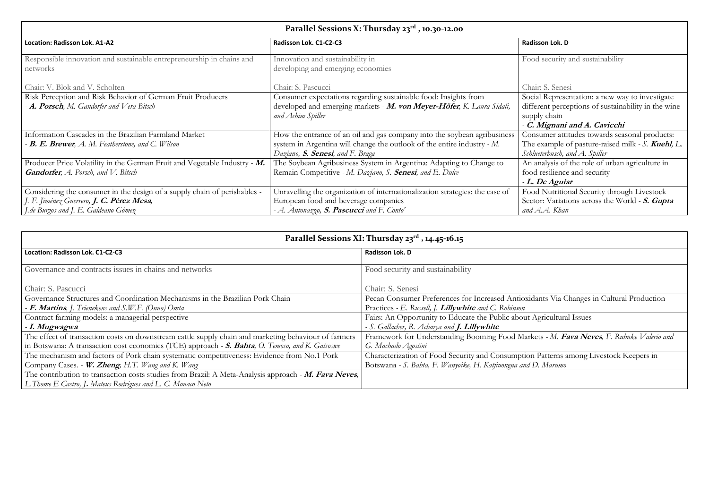sumer attitudes towards seasonal products: The example of pasture-raised milk *- S.* **Kuehl***, L. Schlueterbusch, and A. Spiller*

An analysis of the role of urban agriculture in resilience and security

### *-* **C. Mignani and A. Cavicchi**

|                                                                                                                                                                                | Parallel Sessions X: Thursday 23 <sup>rd</sup> , 10.30-12.00                                                                                                                                    |                                                                   |
|--------------------------------------------------------------------------------------------------------------------------------------------------------------------------------|-------------------------------------------------------------------------------------------------------------------------------------------------------------------------------------------------|-------------------------------------------------------------------|
| Location: Radisson Lok. A1-A2                                                                                                                                                  | Radisson Lok. C1-C2-C3                                                                                                                                                                          | Radisson Lok. D                                                   |
| Responsible innovation and sustainable entrepreneurship in chains and<br>networks                                                                                              | Innovation and sustainability in<br>developing and emerging economies                                                                                                                           | Food security                                                     |
| Chair: V. Blok and V. Scholten                                                                                                                                                 | Chair: S. Pascucci                                                                                                                                                                              | Chair: S. Senes                                                   |
| Risk Perception and Risk Behavior of German Fruit Producers<br>- A. Porsch, M. Gandorfer and Vera Bitsch                                                                       | Consumer expectations regarding sustainable food: Insights from<br>developed and emerging markets - M. von Meyer-Höfer, K. Laura Sidali,<br>and Achim Spiller                                   | Social Represe<br>different perce<br>supply chain<br>- C. Mignani |
| Information Cascades in the Brazilian Farmland Market<br><b>- B. E. Brewer</b> , A. M. Featherstone, and C. Wilson                                                             | How the entrance of an oil and gas company into the soybean agribusiness<br>system in Argentina will change the outlook of the entire industry - M.<br>Daziano, <b>S. Senesi</b> , and F. Braga | Consumer atti<br>The example of<br>Schlueterbusch, a              |
| Producer Price Volatility in the German Fruit and Vegetable Industry - $M$ .<br><b>Gandorfer, A. Porsch, and V. Bitsch</b>                                                     | The Soybean Agribusiness System in Argentina: Adapting to Change to<br>Remain Competitive - M. Daziano, S. Senesi, and E. Dulce                                                                 | An analysis of<br>food resilience<br>- L. De Aguia                |
| Considering the consumer in the design of a supply chain of perishables -<br><i>J. F. Jiménez Guerrero, <b>J. C. Pérez Mesa</b></i> ,<br>J. de Burgos and J. E. Galdeano Gómez | Unravelling the organization of internationalization strategies: the case of<br>European food and beverage companies<br>- A. Antonazzo, S. Pascucci and F. Conto'                               | Food Nutritio<br>Sector: Variati<br>and A.A. Khan                 |

**Hold Nutritional Security through Livestock** Sector: Variations across the World *-* **S. Gupta**  *and A.A. Khan*

ants Via Changes in Cultural Production

**Agricultural Issues** 

### *-* **L. De Aguiar**

Patterns among Livestock Keepers in Botswana *- S. Bahta, F. Wanyoike, H. Katjiuongua and D. Marumo*

# **Parallel Sessions XI: Thursday 23rd , 14.45-16.15**

| Location: Radisson Lok. C1-C2-C3                                                                     | Radisson Lok. D                                        |
|------------------------------------------------------------------------------------------------------|--------------------------------------------------------|
|                                                                                                      |                                                        |
| Governance and contracts issues in chains and networks                                               | Food security and sustainability                       |
|                                                                                                      |                                                        |
| Chair: S. Pascucci                                                                                   | Chair: S. Senesi                                       |
| Governance Structures and Coordination Mechanisms in the Brazilian Pork Chain                        | Pecan Consumer Preferences for Increased Antioxida     |
| - F. Martins, J. Trienekens and S.W.F. (Onno) Omta                                                   | Practices - E. Russell, J. Lillywhite and C. Robinson  |
| Contract farming models: a managerial perspective                                                    | Fairs: An Opportunity to Educate the Public about A    |
| - I. Mugwagwa                                                                                        | - S. Gallacher, R. Acharya and J. Lillywhite           |
| The effect of transaction costs on downstream cattle supply chain and marketing behaviour of farmers | Framework for Understanding Booming Food Marke         |
| in Botswana: A transaction cost economics (TCE) approach - S. Bahta, O. Temoso, and K. Gatsoswe      | G. Machado Agostini                                    |
| The mechanism and factors of Pork chain systematic competitiveness: Evidence from No.1 Pork          | Characterization of Food Security and Consumption      |
| Company Cases. - W. Zheng, H.T. Wang and K. Wang                                                     | Botswana - S. Bahta, F. Wanyoike, H. Katjiuongua and D |
| The contribution to transaction costs studies from Brazil: A Meta-Analysis approach - M. Fava Neves, |                                                        |
| L.Thome E Castro, J. Mateus Rodrigues and L. C. Monaco Neto                                          |                                                        |

d security and sustainability

### ir: S. Senesi

ial Representation: a new way to investigate  $\frac{d}{dt}$  erent perceptions of sustainability in the wine ply chain

Framework for Understanding Booming Food Markets *- M.* **Fava Neves***, F. Ruhnke Valerio and*